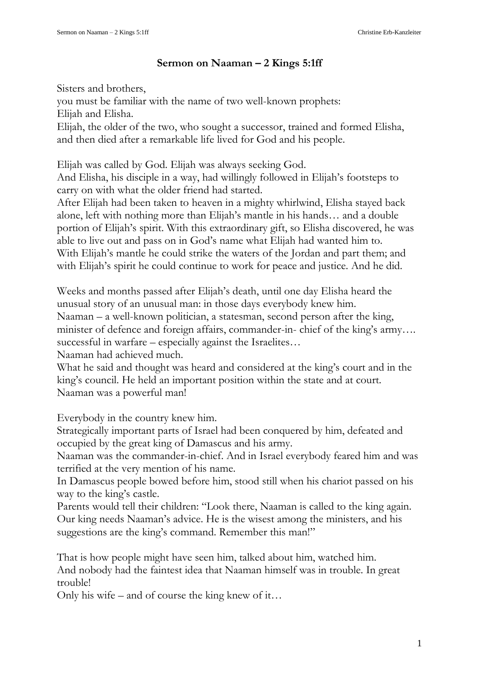## **Sermon on Naaman – 2 Kings 5:1ff**

Sisters and brothers, you must be familiar with the name of two well-known prophets: Elijah and Elisha. Elijah, the older of the two, who sought a successor, trained and formed Elisha, and then died after a remarkable life lived for God and his people.

Elijah was called by God. Elijah was always seeking God.

And Elisha, his disciple in a way, had willingly followed in Elijah's footsteps to carry on with what the older friend had started.

After Elijah had been taken to heaven in a mighty whirlwind, Elisha stayed back alone, left with nothing more than Elijah's mantle in his hands… and a double portion of Elijah's spirit. With this extraordinary gift, so Elisha discovered, he was able to live out and pass on in God's name what Elijah had wanted him to. With Elijah's mantle he could strike the waters of the Jordan and part them; and with Elijah's spirit he could continue to work for peace and justice. And he did.

Weeks and months passed after Elijah's death, until one day Elisha heard the unusual story of an unusual man: in those days everybody knew him. Naaman – a well-known politician, a statesman, second person after the king,

minister of defence and foreign affairs, commander-in- chief of the king's army…. successful in warfare – especially against the Israelites...

Naaman had achieved much.

What he said and thought was heard and considered at the king's court and in the king's council. He held an important position within the state and at court. Naaman was a powerful man!

Everybody in the country knew him.

Strategically important parts of Israel had been conquered by him, defeated and occupied by the great king of Damascus and his army.

Naaman was the commander-in-chief. And in Israel everybody feared him and was terrified at the very mention of his name.

In Damascus people bowed before him, stood still when his chariot passed on his way to the king's castle.

Parents would tell their children: "Look there, Naaman is called to the king again. Our king needs Naaman's advice. He is the wisest among the ministers, and his suggestions are the king's command. Remember this man!"

That is how people might have seen him, talked about him, watched him. And nobody had the faintest idea that Naaman himself was in trouble. In great trouble!

Only his wife – and of course the king knew of it…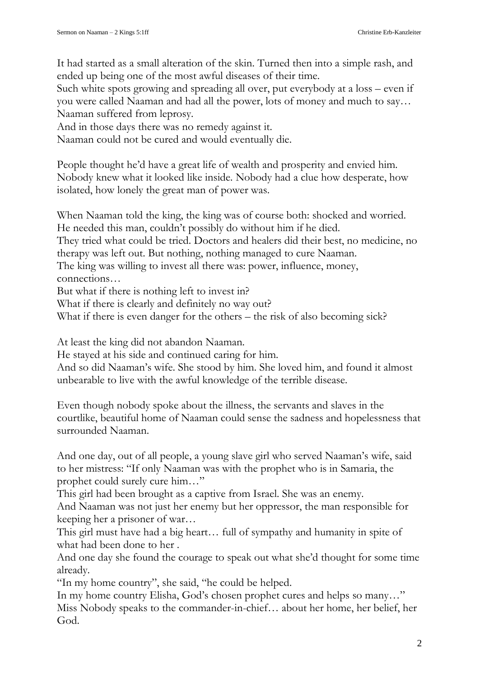It had started as a small alteration of the skin. Turned then into a simple rash, and ended up being one of the most awful diseases of their time.

Such white spots growing and spreading all over, put everybody at a loss – even if you were called Naaman and had all the power, lots of money and much to say… Naaman suffered from leprosy.

And in those days there was no remedy against it.

Naaman could not be cured and would eventually die.

People thought he'd have a great life of wealth and prosperity and envied him. Nobody knew what it looked like inside. Nobody had a clue how desperate, how isolated, how lonely the great man of power was.

When Naaman told the king, the king was of course both: shocked and worried. He needed this man, couldn't possibly do without him if he died.

They tried what could be tried. Doctors and healers did their best, no medicine, no therapy was left out. But nothing, nothing managed to cure Naaman.

The king was willing to invest all there was: power, influence, money, connections…

But what if there is nothing left to invest in?

What if there is clearly and definitely no way out?

What if there is even danger for the others – the risk of also becoming sick?

At least the king did not abandon Naaman.

He stayed at his side and continued caring for him.

And so did Naaman's wife. She stood by him. She loved him, and found it almost unbearable to live with the awful knowledge of the terrible disease.

Even though nobody spoke about the illness, the servants and slaves in the courtlike, beautiful home of Naaman could sense the sadness and hopelessness that surrounded Naaman.

And one day, out of all people, a young slave girl who served Naaman's wife, said to her mistress: "If only Naaman was with the prophet who is in Samaria, the prophet could surely cure him…"

This girl had been brought as a captive from Israel. She was an enemy.

And Naaman was not just her enemy but her oppressor, the man responsible for keeping her a prisoner of war…

This girl must have had a big heart… full of sympathy and humanity in spite of what had been done to her .

And one day she found the courage to speak out what she'd thought for some time already.

"In my home country", she said, "he could be helped.

In my home country Elisha, God's chosen prophet cures and helps so many…" Miss Nobody speaks to the commander-in-chief… about her home, her belief, her God.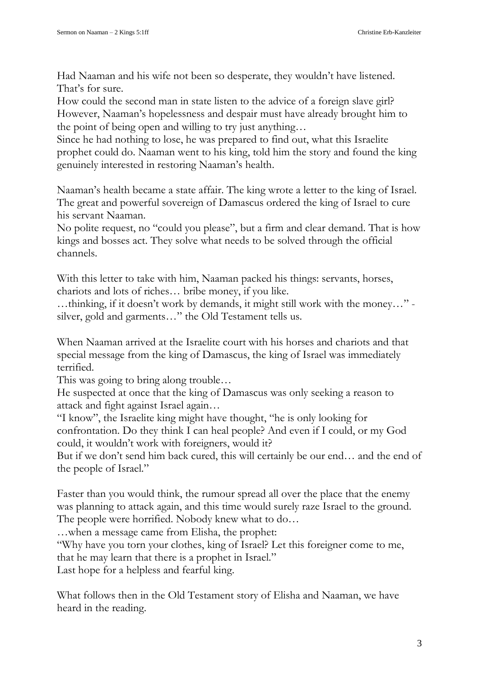Had Naaman and his wife not been so desperate, they wouldn't have listened. That's for sure.

How could the second man in state listen to the advice of a foreign slave girl? However, Naaman's hopelessness and despair must have already brought him to the point of being open and willing to try just anything…

Since he had nothing to lose, he was prepared to find out, what this Israelite prophet could do. Naaman went to his king, told him the story and found the king genuinely interested in restoring Naaman's health.

Naaman's health became a state affair. The king wrote a letter to the king of Israel. The great and powerful sovereign of Damascus ordered the king of Israel to cure his servant Naaman.

No polite request, no "could you please", but a firm and clear demand. That is how kings and bosses act. They solve what needs to be solved through the official channels.

With this letter to take with him, Naaman packed his things: servants, horses, chariots and lots of riches… bribe money, if you like.

…thinking, if it doesn't work by demands, it might still work with the money…" silver, gold and garments…" the Old Testament tells us.

When Naaman arrived at the Israelite court with his horses and chariots and that special message from the king of Damascus, the king of Israel was immediately terrified.

This was going to bring along trouble…

He suspected at once that the king of Damascus was only seeking a reason to attack and fight against Israel again…

"I know", the Israelite king might have thought, "he is only looking for confrontation. Do they think I can heal people? And even if I could, or my God could, it wouldn't work with foreigners, would it?

But if we don't send him back cured, this will certainly be our end… and the end of the people of Israel."

Faster than you would think, the rumour spread all over the place that the enemy was planning to attack again, and this time would surely raze Israel to the ground. The people were horrified. Nobody knew what to do…

…when a message came from Elisha, the prophet:

"Why have you torn your clothes, king of Israel? Let this foreigner come to me, that he may learn that there is a prophet in Israel."

Last hope for a helpless and fearful king.

What follows then in the Old Testament story of Elisha and Naaman, we have heard in the reading.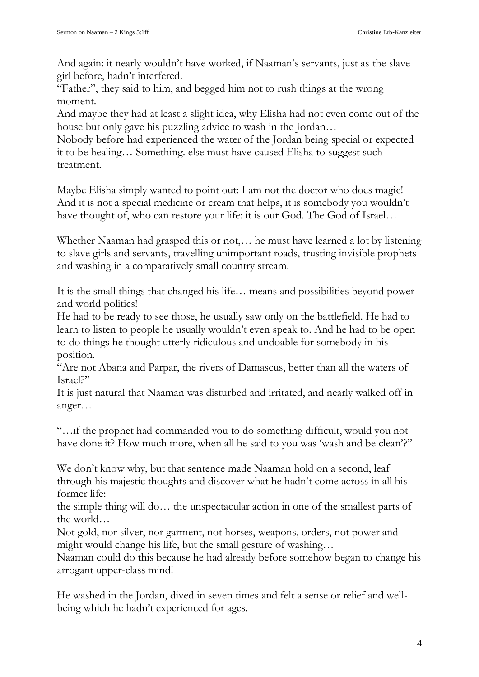And again: it nearly wouldn't have worked, if Naaman's servants, just as the slave girl before, hadn't interfered.

"Father", they said to him, and begged him not to rush things at the wrong moment.

And maybe they had at least a slight idea, why Elisha had not even come out of the house but only gave his puzzling advice to wash in the Jordan…

Nobody before had experienced the water of the Jordan being special or expected it to be healing… Something. else must have caused Elisha to suggest such treatment.

Maybe Elisha simply wanted to point out: I am not the doctor who does magic! And it is not a special medicine or cream that helps, it is somebody you wouldn't have thought of, who can restore your life: it is our God. The God of Israel…

Whether Naaman had grasped this or not,… he must have learned a lot by listening to slave girls and servants, travelling unimportant roads, trusting invisible prophets and washing in a comparatively small country stream.

It is the small things that changed his life… means and possibilities beyond power and world politics!

He had to be ready to see those, he usually saw only on the battlefield. He had to learn to listen to people he usually wouldn't even speak to. And he had to be open to do things he thought utterly ridiculous and undoable for somebody in his position.

"Are not Abana and Parpar, the rivers of Damascus, better than all the waters of Israel?"

It is just natural that Naaman was disturbed and irritated, and nearly walked off in anger…

"…if the prophet had commanded you to do something difficult, would you not have done it? How much more, when all he said to you was 'wash and be clean'?"

We don't know why, but that sentence made Naaman hold on a second, leaf through his majestic thoughts and discover what he hadn't come across in all his former life:

the simple thing will do… the unspectacular action in one of the smallest parts of the world…

Not gold, nor silver, nor garment, not horses, weapons, orders, not power and might would change his life, but the small gesture of washing…

Naaman could do this because he had already before somehow began to change his arrogant upper-class mind!

He washed in the Jordan, dived in seven times and felt a sense or relief and wellbeing which he hadn't experienced for ages.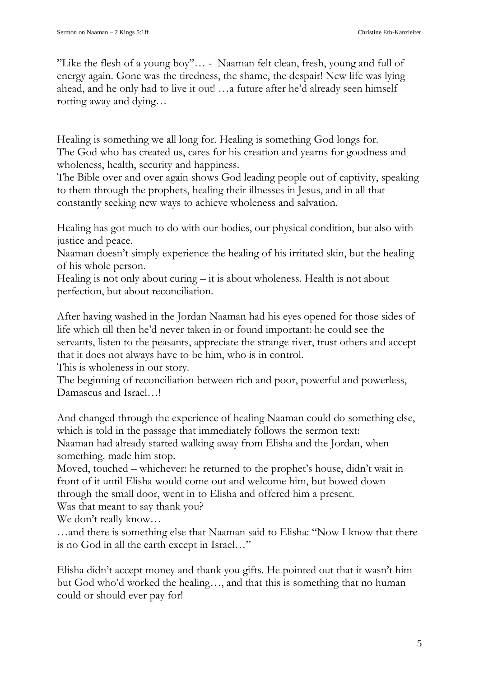"Like the flesh of a young boy"… - Naaman felt clean, fresh, young and full of energy again. Gone was the tiredness, the shame, the despair! New life was lying ahead, and he only had to live it out! …a future after he'd already seen himself rotting away and dying…

Healing is something we all long for. Healing is something God longs for. The God who has created us, cares for his creation and yearns for goodness and wholeness, health, security and happiness.

The Bible over and over again shows God leading people out of captivity, speaking to them through the prophets, healing their illnesses in Jesus, and in all that constantly seeking new ways to achieve wholeness and salvation.

Healing has got much to do with our bodies, our physical condition, but also with justice and peace.

Naaman doesn't simply experience the healing of his irritated skin, but the healing of his whole person.

Healing is not only about curing – it is about wholeness. Health is not about perfection, but about reconciliation.

After having washed in the Jordan Naaman had his eyes opened for those sides of life which till then he'd never taken in or found important: he could see the servants, listen to the peasants, appreciate the strange river, trust others and accept that it does not always have to be him, who is in control.

This is wholeness in our story.

The beginning of reconciliation between rich and poor, powerful and powerless, Damascus and Israel…!

And changed through the experience of healing Naaman could do something else, which is told in the passage that immediately follows the sermon text: Naaman had already started walking away from Elisha and the Jordan, when something. made him stop.

Moved, touched – whichever: he returned to the prophet's house, didn't wait in front of it until Elisha would come out and welcome him, but bowed down through the small door, went in to Elisha and offered him a present.

Was that meant to say thank you?

We don't really know…

…and there is something else that Naaman said to Elisha: "Now I know that there is no God in all the earth except in Israel…"

Elisha didn't accept money and thank you gifts. He pointed out that it wasn't him but God who'd worked the healing…, and that this is something that no human could or should ever pay for!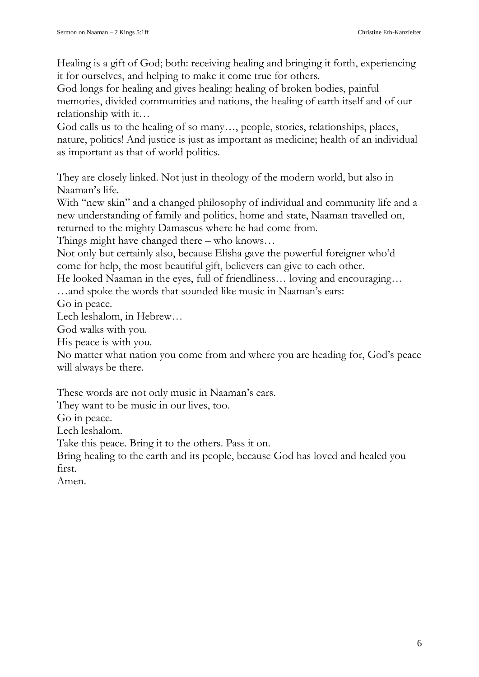Healing is a gift of God; both: receiving healing and bringing it forth, experiencing it for ourselves, and helping to make it come true for others.

God longs for healing and gives healing: healing of broken bodies, painful memories, divided communities and nations, the healing of earth itself and of our relationship with it…

God calls us to the healing of so many..., people, stories, relationships, places, nature, politics! And justice is just as important as medicine; health of an individual as important as that of world politics.

They are closely linked. Not just in theology of the modern world, but also in Naaman's life.

With "new skin" and a changed philosophy of individual and community life and a new understanding of family and politics, home and state, Naaman travelled on, returned to the mighty Damascus where he had come from.

Things might have changed there – who knows…

Not only but certainly also, because Elisha gave the powerful foreigner who'd come for help, the most beautiful gift, believers can give to each other.

He looked Naaman in the eyes, full of friendliness… loving and encouraging… …and spoke the words that sounded like music in Naaman's ears:

Go in peace.

Lech leshalom, in Hebrew…

God walks with you.

His peace is with you.

No matter what nation you come from and where you are heading for, God's peace will always be there.

These words are not only music in Naaman's ears.

They want to be music in our lives, too.

Go in peace.

Lech leshalom.

Take this peace. Bring it to the others. Pass it on.

Bring healing to the earth and its people, because God has loved and healed you first.

Amen.